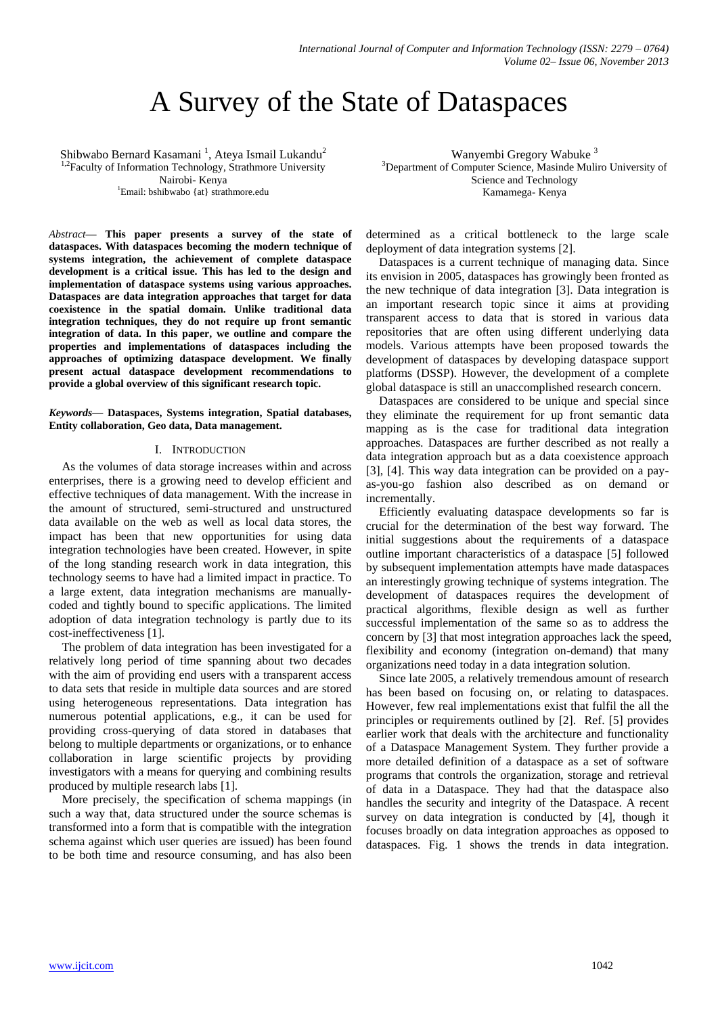# A Survey of the State of Dataspaces

Shibwabo Bernard Kasamani<sup>1</sup>, Ateya Ismail Lukandu<sup>2</sup> <sup>1,2</sup>Faculty of Information Technology, Strathmore University Nairobi- Kenya <sup>1</sup>Email: bshibwabo {at} strathmore.edu

*Abstract***— This paper presents a survey of the state of dataspaces. With dataspaces becoming the modern technique of systems integration, the achievement of complete dataspace development is a critical issue. This has led to the design and implementation of dataspace systems using various approaches. Dataspaces are data integration approaches that target for data coexistence in the spatial domain. Unlike traditional data integration techniques, they do not require up front semantic integration of data. In this paper, we outline and compare the properties and implementations of dataspaces including the approaches of optimizing dataspace development. We finally present actual dataspace development recommendations to provide a global overview of this significant research topic.**

### *Keywords***— Dataspaces, Systems integration, Spatial databases, Entity collaboration, Geo data, Data management.**

## I. INTRODUCTION

As the volumes of data storage increases within and across enterprises, there is a growing need to develop efficient and effective techniques of data management. With the increase in the amount of structured, semi-structured and unstructured data available on the web as well as local data stores, the impact has been that new opportunities for using data integration technologies have been created. However, in spite of the long standing research work in data integration, this technology seems to have had a limited impact in practice. To a large extent, data integration mechanisms are manuallycoded and tightly bound to specific applications. The limited adoption of data integration technology is partly due to its cost-ineffectiveness [1].

The problem of data integration has been investigated for a relatively long period of time spanning about two decades with the aim of providing end users with a transparent access to data sets that reside in multiple data sources and are stored using heterogeneous representations. Data integration has numerous potential applications, e.g., it can be used for providing cross-querying of data stored in databases that belong to multiple departments or organizations, or to enhance collaboration in large scientific projects by providing investigators with a means for querying and combining results produced by multiple research labs [1].

More precisely, the specification of schema mappings (in such a way that, data structured under the source schemas is transformed into a form that is compatible with the integration schema against which user queries are issued) has been found to be both time and resource consuming, and has also been

Wanyembi Gregory Wabuke <sup>3</sup> <sup>3</sup>Department of Computer Science, Masinde Muliro University of Science and Technology Kamamega- Kenya

determined as a critical bottleneck to the large scale deployment of data integration systems [2].

Dataspaces is a current technique of managing data. Since its envision in 2005, dataspaces has growingly been fronted as the new technique of data integration [3]. Data integration is an important research topic since it aims at providing transparent access to data that is stored in various data repositories that are often using different underlying data models. Various attempts have been proposed towards the development of dataspaces by developing dataspace support platforms (DSSP). However, the development of a complete global dataspace is still an unaccomplished research concern.

Dataspaces are considered to be unique and special since they eliminate the requirement for up front semantic data mapping as is the case for traditional data integration approaches. Dataspaces are further described as not really a data integration approach but as a data coexistence approach [3], [4]. This way data integration can be provided on a payas-you-go fashion also described as on demand or incrementally.

Efficiently evaluating dataspace developments so far is crucial for the determination of the best way forward. The initial suggestions about the requirements of a dataspace outline important characteristics of a dataspace [5] followed by subsequent implementation attempts have made dataspaces an interestingly growing technique of systems integration. The development of dataspaces requires the development of practical algorithms, flexible design as well as further successful implementation of the same so as to address the concern by [3] that most integration approaches lack the speed, flexibility and economy (integration on-demand) that many organizations need today in a data integration solution.

Since late 2005, a relatively tremendous amount of research has been based on focusing on, or relating to dataspaces. However, few real implementations exist that fulfil the all the principles or requirements outlined by [2]. Ref. [5] provides earlier work that deals with the architecture and functionality of a Dataspace Management System. They further provide a more detailed definition of a dataspace as a set of software programs that controls the organization, storage and retrieval of data in a Dataspace. They had that the dataspace also handles the security and integrity of the Dataspace. A recent survey on data integration is conducted by [4], though it focuses broadly on data integration approaches as opposed to dataspaces. Fig. 1 shows the trends in data integration.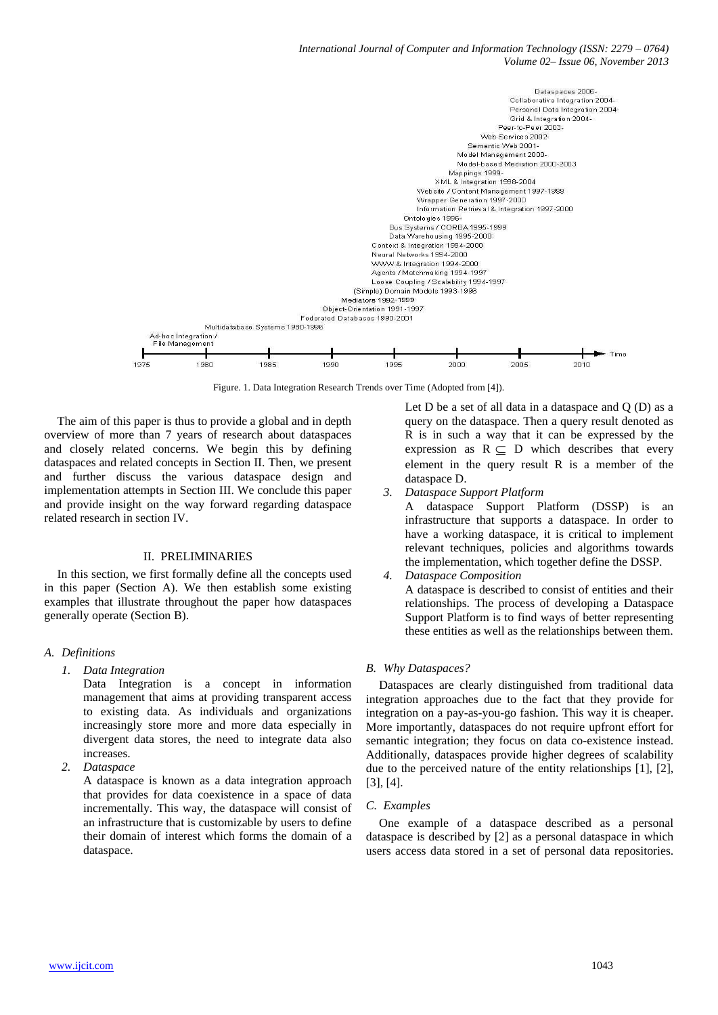

Figure. 1. Data Integration Research Trends over Time (Adopted from [4]).

The aim of this paper is thus to provide a global and in depth overview of more than 7 years of research about dataspaces and closely related concerns. We begin this by defining dataspaces and related concepts in Section II. Then, we present and further discuss the various dataspace design and implementation attempts in Section III. We conclude this paper and provide insight on the way forward regarding dataspace related research in section IV.

### II. PRELIMINARIES

In this section, we first formally define all the concepts used in this paper (Section A). We then establish some existing examples that illustrate throughout the paper how dataspaces generally operate (Section B).

## *A. Definitions*

*1. Data Integration*

Data Integration is a concept in information management that aims at providing transparent access to existing data. As individuals and organizations increasingly store more and more data especially in divergent data stores, the need to integrate data also increases.

*2. Dataspace*

A dataspace is known as a data integration approach that provides for data coexistence in a space of data incrementally. This way, the dataspace will consist of an infrastructure that is customizable by users to define their domain of interest which forms the domain of a dataspace.

Let  $D$  be a set of all data in a dataspace and  $Q$   $(D)$  as a query on the dataspace. Then a query result denoted as R is in such a way that it can be expressed by the expression as  $R \subseteq D$  which describes that every element in the query result R is a member of the dataspace D.

*3. Dataspace Support Platform*

A dataspace Support Platform (DSSP) is an infrastructure that supports a dataspace. In order to have a working dataspace, it is critical to implement relevant techniques, policies and algorithms towards the implementation, which together define the DSSP.

*4. Dataspace Composition* A dataspace is described to consist of entities and their relationships. The process of developing a Dataspace Support Platform is to find ways of better representing these entities as well as the relationships between them.

#### *B. Why Dataspaces?*

Dataspaces are clearly distinguished from traditional data integration approaches due to the fact that they provide for integration on a pay-as-you-go fashion. This way it is cheaper. More importantly, dataspaces do not require upfront effort for semantic integration; they focus on data co-existence instead. Additionally, dataspaces provide higher degrees of scalability due to the perceived nature of the entity relationships [1], [2], [3], [4].

#### *C. Examples*

One example of a dataspace described as a personal dataspace is described by [2] as a personal dataspace in which users access data stored in a set of personal data repositories.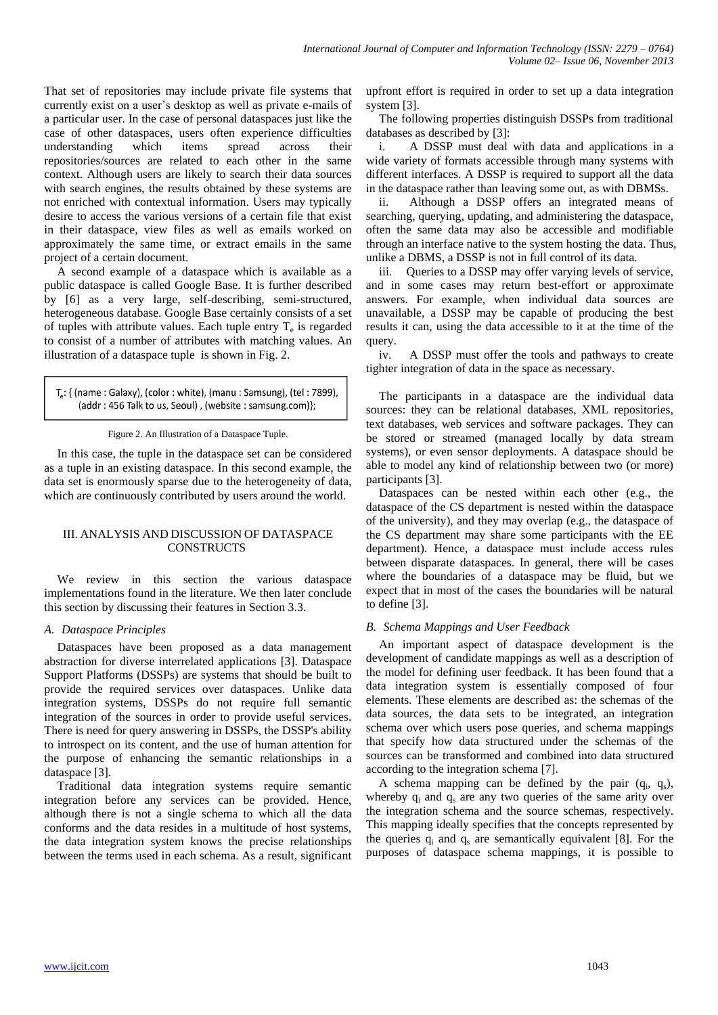That set of repositories may include private file systems that currently exist on a user's desktop as well as private e-mails of a particular user. In the case of personal dataspaces just like the case of other dataspaces, users often experience difficulties understanding which items spread across their repositories/sources are related to each other in the same context. Although users are likely to search their data sources with search engines, the results obtained by these systems are not enriched with contextual information. Users may typically desire to access the various versions of a certain file that exist in their dataspace, view files as well as emails worked on approximately the same time, or extract emails in the same project of a certain document.

A second example of a dataspace which is available as a public dataspace is called Google Base. It is further described by [6] as a very large, self-describing, semi-structured, heterogeneous database. Google Base certainly consists of a set of tuples with attribute values. Each tuple entry  $T_e$  is regarded to consist of a number of attributes with matching values. An illustration of a dataspace tuple is shown in Fig. 2.

```
T<sub>a</sub>: { (name : Galaxy), (color : white), (manu : Samsung), (tel : 7899),
(addr: 456 Talk to us, Seoul), (website: samsung.com)};
```
#### Figure 2. An Illustration of a Dataspace Tuple.

In this case, the tuple in the dataspace set can be considered as a tuple in an existing dataspace. In this second example, the data set is enormously sparse due to the heterogeneity of data, which are continuously contributed by users around the world.

# III. ANALYSIS AND DISCUSSION OF DATASPACE **CONSTRUCTS**

We review in this section the various dataspace implementations found in the literature. We then later conclude this section by discussing their features in Section 3.3.

## *A. Dataspace Principles*

Dataspaces have been proposed as a data management abstraction for diverse interrelated applications [3]. Dataspace Support Platforms (DSSPs) are systems that should be built to provide the required services over dataspaces. Unlike data integration systems, DSSPs do not require full semantic integration of the sources in order to provide useful services. There is need for query answering in DSSPs, the DSSP's ability to introspect on its content, and the use of human attention for the purpose of enhancing the semantic relationships in a dataspace [3].

Traditional data integration systems require semantic integration before any services can be provided. Hence, although there is not a single schema to which all the data conforms and the data resides in a multitude of host systems, the data integration system knows the precise relationships between the terms used in each schema. As a result, significant

upfront effort is required in order to set up a data integration system [3].

The following properties distinguish DSSPs from traditional databases as described by [3]:

i. A DSSP must deal with data and applications in a wide variety of formats accessible through many systems with different interfaces. A DSSP is required to support all the data in the dataspace rather than leaving some out, as with DBMSs.

ii. Although a DSSP offers an integrated means of searching, querying, updating, and administering the dataspace, often the same data may also be accessible and modifiable through an interface native to the system hosting the data. Thus, unlike a DBMS, a DSSP is not in full control of its data.

iii. Queries to a DSSP may offer varying levels of service, and in some cases may return best-effort or approximate answers. For example, when individual data sources are unavailable, a DSSP may be capable of producing the best results it can, using the data accessible to it at the time of the query.

iv. A DSSP must offer the tools and pathways to create tighter integration of data in the space as necessary.

The participants in a dataspace are the individual data sources: they can be relational databases, XML repositories, text databases, web services and software packages. They can be stored or streamed (managed locally by data stream systems), or even sensor deployments. A dataspace should be able to model any kind of relationship between two (or more) participants [3].

Dataspaces can be nested within each other (e.g., the dataspace of the CS department is nested within the dataspace of the university), and they may overlap (e.g., the dataspace of the CS department may share some participants with the EE department). Hence, a dataspace must include access rules between disparate dataspaces. In general, there will be cases where the boundaries of a dataspace may be fluid, but we expect that in most of the cases the boundaries will be natural to define [3].

## *B. Schema Mappings and User Feedback*

An important aspect of dataspace development is the development of candidate mappings as well as a description of the model for defining user feedback. It has been found that a data integration system is essentially composed of four elements. These elements are described as: the schemas of the data sources, the data sets to be integrated, an integration schema over which users pose queries, and schema mappings that specify how data structured under the schemas of the sources can be transformed and combined into data structured according to the integration schema [7].

A schema mapping can be defined by the pair  $(q_i, q_s)$ , whereby  $q_i$  and  $q_s$  are any two queries of the same arity over the integration schema and the source schemas, respectively. This mapping ideally specifies that the concepts represented by the queries  $q_i$  and  $q_s$  are semantically equivalent [8]. For the purposes of dataspace schema mappings, it is possible to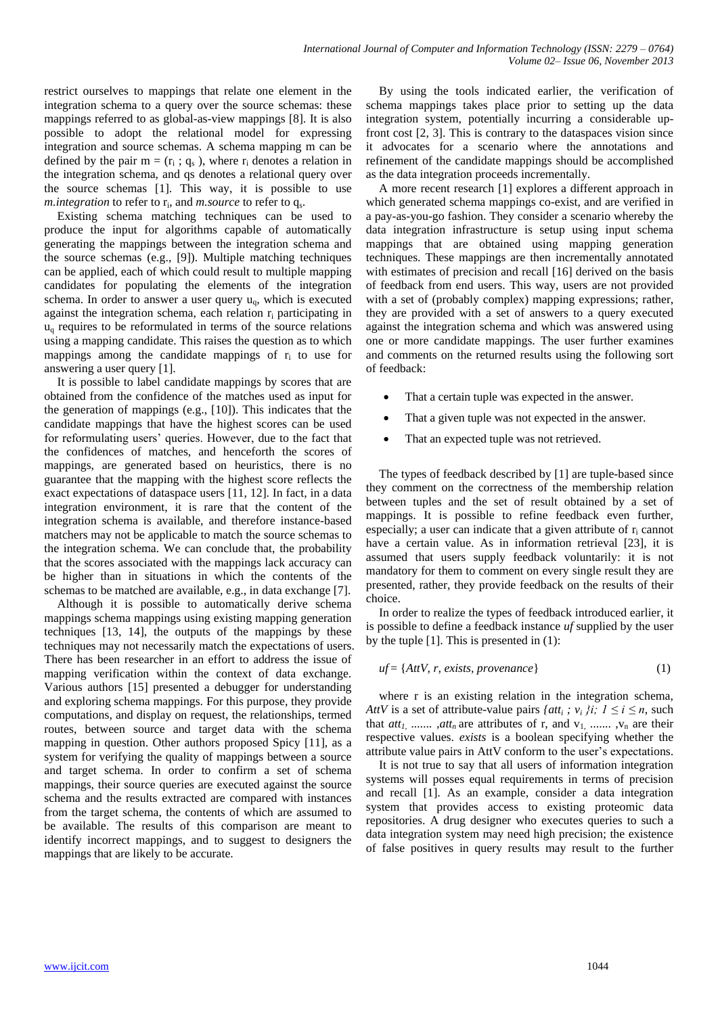restrict ourselves to mappings that relate one element in the integration schema to a query over the source schemas: these mappings referred to as global-as-view mappings [8]. It is also possible to adopt the relational model for expressing integration and source schemas. A schema mapping m can be defined by the pair  $m = (r_i; q_s)$ , where  $r_i$  denotes a relation in the integration schema, and qs denotes a relational query over the source schemas [1]. This way, it is possible to use m.*integration* to refer to r<sub>i</sub>, and *m.source* to refer to q<sub>s</sub>.

Existing schema matching techniques can be used to produce the input for algorithms capable of automatically generating the mappings between the integration schema and the source schemas (e.g., [9]). Multiple matching techniques can be applied, each of which could result to multiple mapping candidates for populating the elements of the integration schema. In order to answer a user query  $u<sub>0</sub>$ , which is executed against the integration schema, each relation r<sup>i</sup> participating in  $u<sub>a</sub>$  requires to be reformulated in terms of the source relations using a mapping candidate. This raises the question as to which mappings among the candidate mappings of  $r_i$  to use for answering a user query [1].

It is possible to label candidate mappings by scores that are obtained from the confidence of the matches used as input for the generation of mappings (e.g., [10]). This indicates that the candidate mappings that have the highest scores can be used for reformulating users' queries. However, due to the fact that the confidences of matches, and henceforth the scores of mappings, are generated based on heuristics, there is no guarantee that the mapping with the highest score reflects the exact expectations of dataspace users [11, 12]. In fact, in a data integration environment, it is rare that the content of the integration schema is available, and therefore instance-based matchers may not be applicable to match the source schemas to the integration schema. We can conclude that, the probability that the scores associated with the mappings lack accuracy can be higher than in situations in which the contents of the schemas to be matched are available, e.g., in data exchange [7].

Although it is possible to automatically derive schema mappings schema mappings using existing mapping generation techniques [13, 14], the outputs of the mappings by these techniques may not necessarily match the expectations of users. There has been researcher in an effort to address the issue of mapping verification within the context of data exchange. Various authors [15] presented a debugger for understanding and exploring schema mappings. For this purpose, they provide computations, and display on request, the relationships, termed routes, between source and target data with the schema mapping in question. Other authors proposed Spicy [11], as a system for verifying the quality of mappings between a source and target schema. In order to confirm a set of schema mappings, their source queries are executed against the source schema and the results extracted are compared with instances from the target schema, the contents of which are assumed to be available. The results of this comparison are meant to identify incorrect mappings, and to suggest to designers the mappings that are likely to be accurate.

By using the tools indicated earlier, the verification of schema mappings takes place prior to setting up the data integration system, potentially incurring a considerable upfront cost [2, 3]. This is contrary to the dataspaces vision since it advocates for a scenario where the annotations and refinement of the candidate mappings should be accomplished as the data integration proceeds incrementally.

A more recent research [1] explores a different approach in which generated schema mappings co-exist, and are verified in a pay-as-you-go fashion. They consider a scenario whereby the data integration infrastructure is setup using input schema mappings that are obtained using mapping generation techniques. These mappings are then incrementally annotated with estimates of precision and recall [16] derived on the basis of feedback from end users. This way, users are not provided with a set of (probably complex) mapping expressions; rather, they are provided with a set of answers to a query executed against the integration schema and which was answered using one or more candidate mappings. The user further examines and comments on the returned results using the following sort of feedback:

- That a certain tuple was expected in the answer.
- That a given tuple was not expected in the answer.
- That an expected tuple was not retrieved.

The types of feedback described by [1] are tuple-based since they comment on the correctness of the membership relation between tuples and the set of result obtained by a set of mappings. It is possible to refine feedback even further, especially; a user can indicate that a given attribute of  $r_i$  cannot have a certain value. As in information retrieval [23], it is assumed that users supply feedback voluntarily: it is not mandatory for them to comment on every single result they are presented, rather, they provide feedback on the results of their choice.

In order to realize the types of feedback introduced earlier, it is possible to define a feedback instance *uf* supplied by the user by the tuple [1]. This is presented in (1):

$$
uf = \{AttV, r, exists, provenance\}
$$
 (1)

where r is an existing relation in the integration schema, *AttV* is a set of attribute-value pairs  $\{att_i; v_i\}$ *i*;  $1 \le i \le n$ , such that  $att_1$ , .......,  $att_n$  are attributes of r, and  $v_1$ , ......,  $v_n$  are their respective values. *exists* is a boolean specifying whether the attribute value pairs in AttV conform to the user's expectations.

It is not true to say that all users of information integration systems will posses equal requirements in terms of precision and recall [1]. As an example, consider a data integration system that provides access to existing proteomic data repositories. A drug designer who executes queries to such a data integration system may need high precision; the existence of false positives in query results may result to the further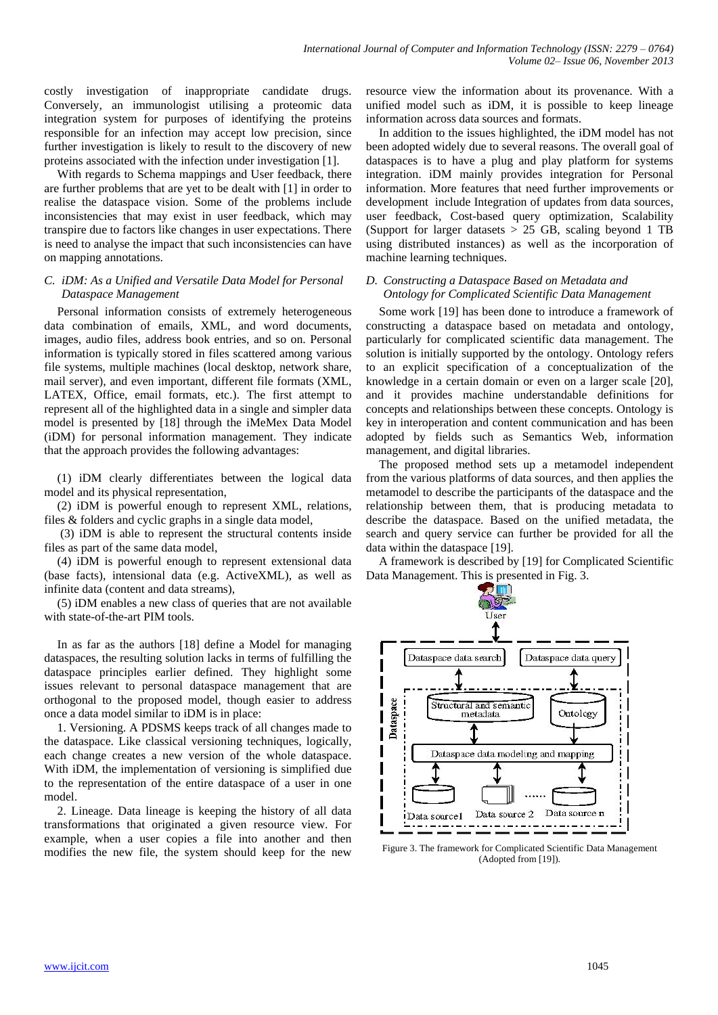costly investigation of inappropriate candidate drugs. Conversely, an immunologist utilising a proteomic data integration system for purposes of identifying the proteins responsible for an infection may accept low precision, since further investigation is likely to result to the discovery of new proteins associated with the infection under investigation [1].

With regards to Schema mappings and User feedback, there are further problems that are yet to be dealt with [1] in order to realise the dataspace vision. Some of the problems include inconsistencies that may exist in user feedback, which may transpire due to factors like changes in user expectations. There is need to analyse the impact that such inconsistencies can have on mapping annotations.

# *C. iDM: As a Unified and Versatile Data Model for Personal Dataspace Management*

Personal information consists of extremely heterogeneous data combination of emails, XML, and word documents, images, audio files, address book entries, and so on. Personal information is typically stored in files scattered among various file systems, multiple machines (local desktop, network share, mail server), and even important, different file formats (XML, LATEX, Office, email formats, etc.). The first attempt to represent all of the highlighted data in a single and simpler data model is presented by [18] through the iMeMex Data Model (iDM) for personal information management. They indicate that the approach provides the following advantages:

(1) iDM clearly differentiates between the logical data model and its physical representation,

(2) iDM is powerful enough to represent XML, relations, files & folders and cyclic graphs in a single data model,

(3) iDM is able to represent the structural contents inside files as part of the same data model,

(4) iDM is powerful enough to represent extensional data (base facts), intensional data (e.g. ActiveXML), as well as infinite data (content and data streams),

(5) iDM enables a new class of queries that are not available with state-of-the-art PIM tools.

In as far as the authors [18] define a Model for managing dataspaces, the resulting solution lacks in terms of fulfilling the dataspace principles earlier defined. They highlight some issues relevant to personal dataspace management that are orthogonal to the proposed model, though easier to address once a data model similar to iDM is in place:

1. Versioning. A PDSMS keeps track of all changes made to the dataspace. Like classical versioning techniques, logically, each change creates a new version of the whole dataspace. With iDM, the implementation of versioning is simplified due to the representation of the entire dataspace of a user in one model.

2. Lineage. Data lineage is keeping the history of all data transformations that originated a given resource view. For example, when a user copies a file into another and then modifies the new file, the system should keep for the new

resource view the information about its provenance. With a unified model such as iDM, it is possible to keep lineage information across data sources and formats.

In addition to the issues highlighted, the iDM model has not been adopted widely due to several reasons. The overall goal of dataspaces is to have a plug and play platform for systems integration. iDM mainly provides integration for Personal information. More features that need further improvements or development include Integration of updates from data sources, user feedback, Cost-based query optimization, Scalability (Support for larger datasets  $> 25$  GB, scaling beyond 1 TB using distributed instances) as well as the incorporation of machine learning techniques.

# *D. Constructing a Dataspace Based on Metadata and Ontology for Complicated Scientific Data Management*

Some work [19] has been done to introduce a framework of constructing a dataspace based on metadata and ontology, particularly for complicated scientific data management. The solution is initially supported by the ontology. Ontology refers to an explicit specification of a conceptualization of the knowledge in a certain domain or even on a larger scale [20], and it provides machine understandable definitions for concepts and relationships between these concepts. Ontology is key in interoperation and content communication and has been adopted by fields such as Semantics Web, information management, and digital libraries.

The proposed method sets up a metamodel independent from the various platforms of data sources, and then applies the metamodel to describe the participants of the dataspace and the relationship between them, that is producing metadata to describe the dataspace. Based on the unified metadata, the search and query service can further be provided for all the data within the dataspace [19].

A framework is described by [19] for Complicated Scientific Data Management. This is presented in Fig. 3.



Figure 3. The framework for Complicated Scientific Data Management (Adopted from [19]).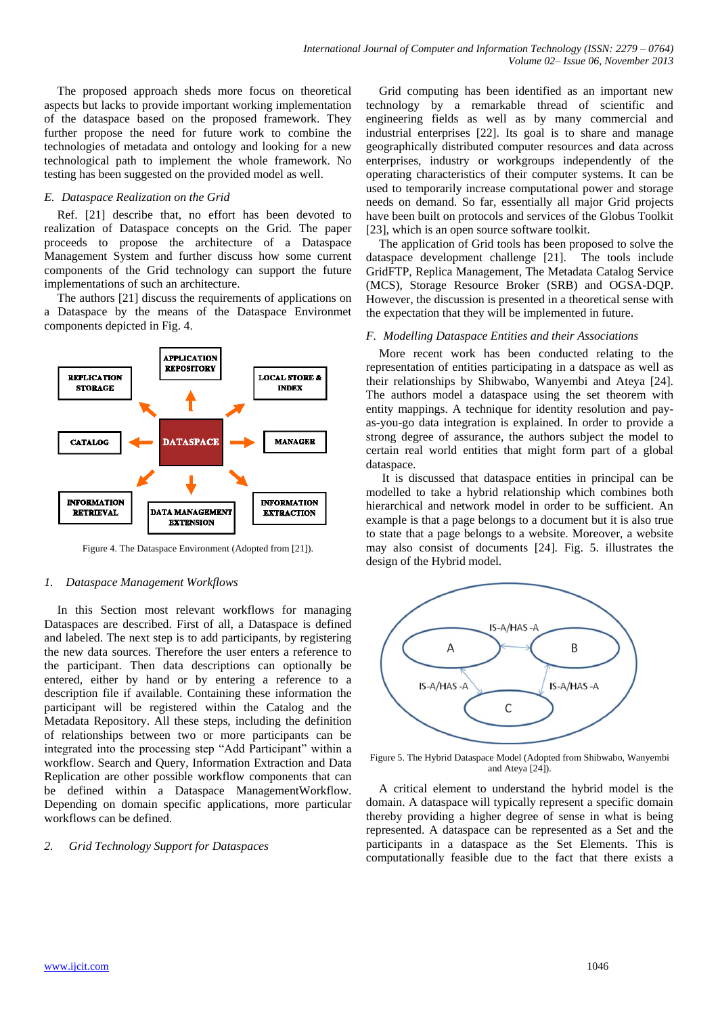The proposed approach sheds more focus on theoretical aspects but lacks to provide important working implementation of the dataspace based on the proposed framework. They further propose the need for future work to combine the technologies of metadata and ontology and looking for a new technological path to implement the whole framework. No testing has been suggested on the provided model as well.

## *E. Dataspace Realization on the Grid*

Ref. [21] describe that, no effort has been devoted to realization of Dataspace concepts on the Grid. The paper proceeds to propose the architecture of a Dataspace Management System and further discuss how some current components of the Grid technology can support the future implementations of such an architecture.

The authors [21] discuss the requirements of applications on a Dataspace by the means of the Dataspace Environmet components depicted in Fig. 4.



Figure 4. The Dataspace Environment (Adopted from [21]).

# *1. Dataspace Management Workflows*

In this Section most relevant workflows for managing Dataspaces are described. First of all, a Dataspace is defined and labeled. The next step is to add participants, by registering the new data sources. Therefore the user enters a reference to the participant. Then data descriptions can optionally be entered, either by hand or by entering a reference to a description file if available. Containing these information the participant will be registered within the Catalog and the Metadata Repository. All these steps, including the definition of relationships between two or more participants can be integrated into the processing step "Add Participant" within a workflow. Search and Query, Information Extraction and Data Replication are other possible workflow components that can be defined within a Dataspace ManagementWorkflow. Depending on domain specific applications, more particular workflows can be defined.

# *2. Grid Technology Support for Dataspaces*

Grid computing has been identified as an important new technology by a remarkable thread of scientific and engineering fields as well as by many commercial and industrial enterprises [22]. Its goal is to share and manage geographically distributed computer resources and data across enterprises, industry or workgroups independently of the operating characteristics of their computer systems. It can be used to temporarily increase computational power and storage needs on demand. So far, essentially all major Grid projects have been built on protocols and services of the Globus Toolkit [23], which is an open source software toolkit.

The application of Grid tools has been proposed to solve the dataspace development challenge [21]. The tools include GridFTP, Replica Management, The Metadata Catalog Service (MCS), Storage Resource Broker (SRB) and OGSA-DQP. However, the discussion is presented in a theoretical sense with the expectation that they will be implemented in future.

#### *F. Modelling Dataspace Entities and their Associations*

More recent work has been conducted relating to the representation of entities participating in a datspace as well as their relationships by Shibwabo, Wanyembi and Ateya [24]. The authors model a dataspace using the set theorem with entity mappings. A technique for identity resolution and payas-you-go data integration is explained. In order to provide a strong degree of assurance, the authors subject the model to certain real world entities that might form part of a global dataspace.

It is discussed that dataspace entities in principal can be modelled to take a hybrid relationship which combines both hierarchical and network model in order to be sufficient. An example is that a page belongs to a document but it is also true to state that a page belongs to a website. Moreover, a website may also consist of documents [24]. Fig. 5. illustrates the design of the Hybrid model.



Figure 5. The Hybrid Dataspace Model (Adopted from Shibwabo, Wanyembi and Ateya [24]).

A critical element to understand the hybrid model is the domain. A dataspace will typically represent a specific domain thereby providing a higher degree of sense in what is being represented. A dataspace can be represented as a Set and the participants in a dataspace as the Set Elements. This is computationally feasible due to the fact that there exists a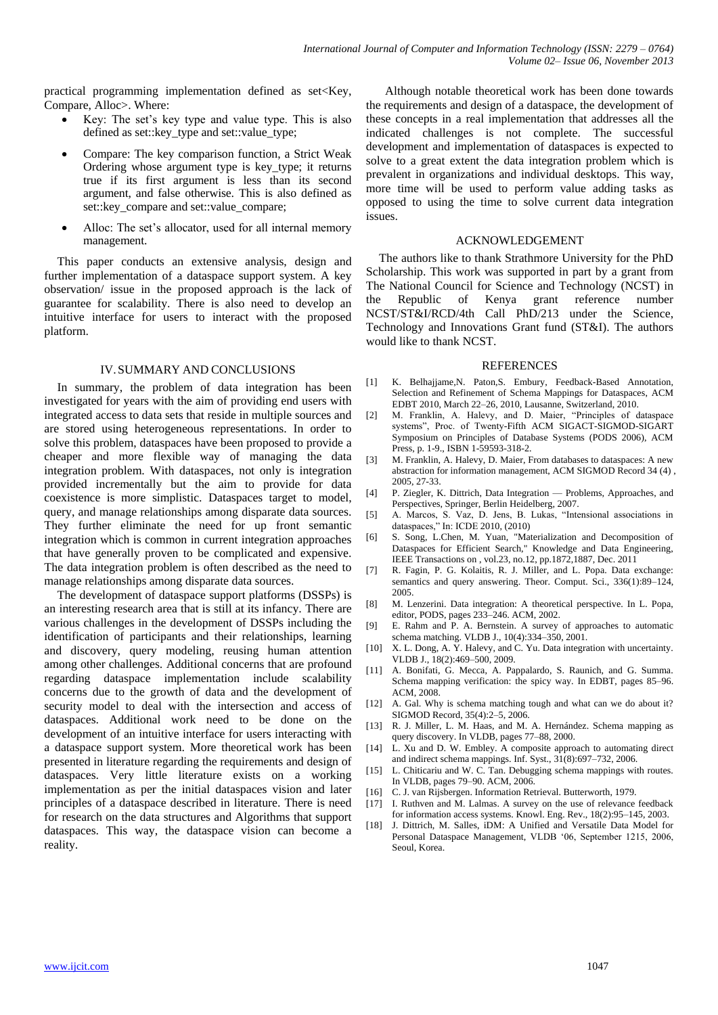practical programming implementation defined as  $set \times Key$ . Compare, Alloc>. Where:

- Key: The set's key type and value type. This is also defined as set::key\_type and set::value\_type;
- Compare: The key comparison function, a Strict Weak Ordering whose argument type is key\_type; it returns true if its first argument is less than its second argument, and false otherwise. This is also defined as set::key\_compare and set::value\_compare;
- Alloc: The set's allocator, used for all internal memory management.

This paper conducts an extensive analysis, design and further implementation of a dataspace support system. A key observation/ issue in the proposed approach is the lack of guarantee for scalability. There is also need to develop an intuitive interface for users to interact with the proposed platform.

# IV.SUMMARY AND CONCLUSIONS

In summary, the problem of data integration has been investigated for years with the aim of providing end users with integrated access to data sets that reside in multiple sources and are stored using heterogeneous representations. In order to solve this problem, dataspaces have been proposed to provide a cheaper and more flexible way of managing the data integration problem. With dataspaces, not only is integration provided incrementally but the aim to provide for data coexistence is more simplistic. Dataspaces target to model, query, and manage relationships among disparate data sources. They further eliminate the need for up front semantic integration which is common in current integration approaches that have generally proven to be complicated and expensive. The data integration problem is often described as the need to manage relationships among disparate data sources.

The development of dataspace support platforms (DSSPs) is an interesting research area that is still at its infancy. There are various challenges in the development of DSSPs including the identification of participants and their relationships, learning and discovery, query modeling, reusing human attention among other challenges. Additional concerns that are profound regarding dataspace implementation include scalability concerns due to the growth of data and the development of security model to deal with the intersection and access of dataspaces. Additional work need to be done on the development of an intuitive interface for users interacting with a dataspace support system. More theoretical work has been presented in literature regarding the requirements and design of dataspaces. Very little literature exists on a working implementation as per the initial dataspaces vision and later principles of a dataspace described in literature. There is need for research on the data structures and Algorithms that support dataspaces. This way, the dataspace vision can become a reality.

 Although notable theoretical work has been done towards the requirements and design of a dataspace, the development of these concepts in a real implementation that addresses all the indicated challenges is not complete. The successful development and implementation of dataspaces is expected to solve to a great extent the data integration problem which is prevalent in organizations and individual desktops. This way, more time will be used to perform value adding tasks as opposed to using the time to solve current data integration issues.

#### ACKNOWLEDGEMENT

The authors like to thank Strathmore University for the PhD Scholarship. This work was supported in part by a grant from The National Council for Science and Technology (NCST) in the Republic of Kenya grant reference number NCST/ST&I/RCD/4th Call PhD/213 under the Science, Technology and Innovations Grant fund (ST&I). The authors would like to thank NCST.

#### **REFERENCES**

- [1] K. Belhajjame,N. Paton,S. Embury, Feedback-Based Annotation, Selection and Refinement of Schema Mappings for Dataspaces, ACM EDBT 2010, March 22–26, 2010, Lausanne, Switzerland, 2010.
- [2] M. Franklin, A. Halevy, and D. Maier, "Principles of dataspace systems", Proc. of Twenty-Fifth ACM SIGACT-SIGMOD-SIGART Symposium on Principles of Database Systems (PODS 2006), ACM Press, p. 1-9., ISBN 1-59593-318-2.
- M. Franklin, A. Halevy, D. Maier, From databases to dataspaces: A new abstraction for information management, ACM SIGMOD Record 34 (4) , 2005, 27-33.
- [4] P. Ziegler, K. Dittrich, Data Integration Problems, Approaches, and Perspectives, Springer, Berlin Heidelberg, 2007.
- [5] A. Marcos, S. Vaz, D. Jens, B. Lukas, "Intensional associations in dataspaces," In: ICDE 2010, (2010)
- [6] S. Song, L.Chen, M. Yuan, "Materialization and Decomposition of Dataspaces for Efficient Search," Knowledge and Data Engineering, IEEE Transactions on , vol.23, no.12, pp.1872,1887, Dec. 2011
- [7] R. Fagin, P. G. Kolaitis, R. J. Miller, and L. Popa. Data exchange: semantics and query answering. Theor. Comput. Sci., 336(1):89–124, 2005.
- [8] M. Lenzerini. Data integration: A theoretical perspective. In L. Popa, editor, PODS, pages 233–246. ACM, 2002.
- E. Rahm and P. A. Bernstein. A survey of approaches to automatic schema matching. VLDB J., 10(4):334–350, 2001.
- [10] X. L. Dong, A. Y. Halevy, and C. Yu. Data integration with uncertainty. VLDB J., 18(2):469–500, 2009.
- [11] A. Bonifati, G. Mecca, A. Pappalardo, S. Raunich, and G. Summa. Schema mapping verification: the spicy way. In EDBT, pages 85–96. ACM, 2008.
- [12] A. Gal. Why is schema matching tough and what can we do about it? SIGMOD Record, 35(4):2–5, 2006.
- [13] R. J. Miller, L. M. Haas, and M. A. Hernández. Schema mapping as query discovery. In VLDB, pages 77–88, 2000.
- [14] L. Xu and D. W. Embley. A composite approach to automating direct and indirect schema mappings. Inf. Syst., 31(8):697–732, 2006.
- [15] L. Chiticariu and W. C. Tan. Debugging schema mappings with routes. In VLDB, pages 79–90. ACM, 2006.
- [16] C. J. van Rijsbergen. Information Retrieval. Butterworth, 1979.
- [17] I. Ruthven and M. Lalmas. A survey on the use of relevance feedback for information access systems. Knowl. Eng. Rev., 18(2):95–145, 2003.
- [18] J. Dittrich, M. Salles, iDM: A Unified and Versatile Data Model for Personal Dataspace Management, VLDB '06, September 1215, 2006, Seoul, Korea.